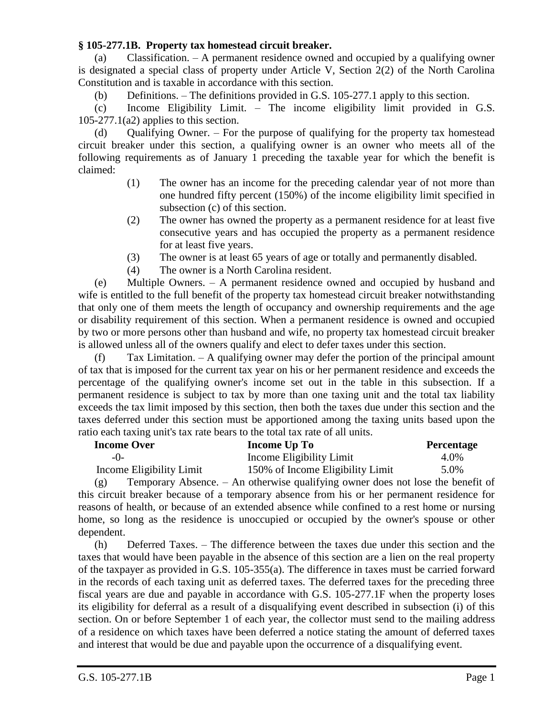## **§ 105-277.1B. Property tax homestead circuit breaker.**

(a) Classification. – A permanent residence owned and occupied by a qualifying owner is designated a special class of property under Article V, Section 2(2) of the North Carolina Constitution and is taxable in accordance with this section.

(b) Definitions. – The definitions provided in G.S. 105-277.1 apply to this section.

(c) Income Eligibility Limit. – The income eligibility limit provided in G.S.  $105-277.1(a2)$  applies to this section.

(d) Qualifying Owner. – For the purpose of qualifying for the property tax homestead circuit breaker under this section, a qualifying owner is an owner who meets all of the following requirements as of January 1 preceding the taxable year for which the benefit is claimed:

- (1) The owner has an income for the preceding calendar year of not more than one hundred fifty percent (150%) of the income eligibility limit specified in subsection (c) of this section.
- (2) The owner has owned the property as a permanent residence for at least five consecutive years and has occupied the property as a permanent residence for at least five years.
- (3) The owner is at least 65 years of age or totally and permanently disabled.
- (4) The owner is a North Carolina resident.

(e) Multiple Owners. – A permanent residence owned and occupied by husband and wife is entitled to the full benefit of the property tax homestead circuit breaker notwithstanding that only one of them meets the length of occupancy and ownership requirements and the age or disability requirement of this section. When a permanent residence is owned and occupied by two or more persons other than husband and wife, no property tax homestead circuit breaker is allowed unless all of the owners qualify and elect to defer taxes under this section.

(f) Tax Limitation. – A qualifying owner may defer the portion of the principal amount of tax that is imposed for the current tax year on his or her permanent residence and exceeds the percentage of the qualifying owner's income set out in the table in this subsection. If a permanent residence is subject to tax by more than one taxing unit and the total tax liability exceeds the tax limit imposed by this section, then both the taxes due under this section and the taxes deferred under this section must be apportioned among the taxing units based upon the ratio each taxing unit's tax rate bears to the total tax rate of all units.

| <b>Income Over</b>       | Income Up To                     | <b>Percentage</b> |
|--------------------------|----------------------------------|-------------------|
| $-()$                    | Income Eligibility Limit         | 4.0%              |
| Income Eligibility Limit | 150% of Income Eligibility Limit | 5.0%              |

(g) Temporary Absence. – An otherwise qualifying owner does not lose the benefit of this circuit breaker because of a temporary absence from his or her permanent residence for reasons of health, or because of an extended absence while confined to a rest home or nursing home, so long as the residence is unoccupied or occupied by the owner's spouse or other dependent.

(h) Deferred Taxes. – The difference between the taxes due under this section and the taxes that would have been payable in the absence of this section are a lien on the real property of the taxpayer as provided in G.S. 105-355(a). The difference in taxes must be carried forward in the records of each taxing unit as deferred taxes. The deferred taxes for the preceding three fiscal years are due and payable in accordance with G.S. 105-277.1F when the property loses its eligibility for deferral as a result of a disqualifying event described in subsection (i) of this section. On or before September 1 of each year, the collector must send to the mailing address of a residence on which taxes have been deferred a notice stating the amount of deferred taxes and interest that would be due and payable upon the occurrence of a disqualifying event.